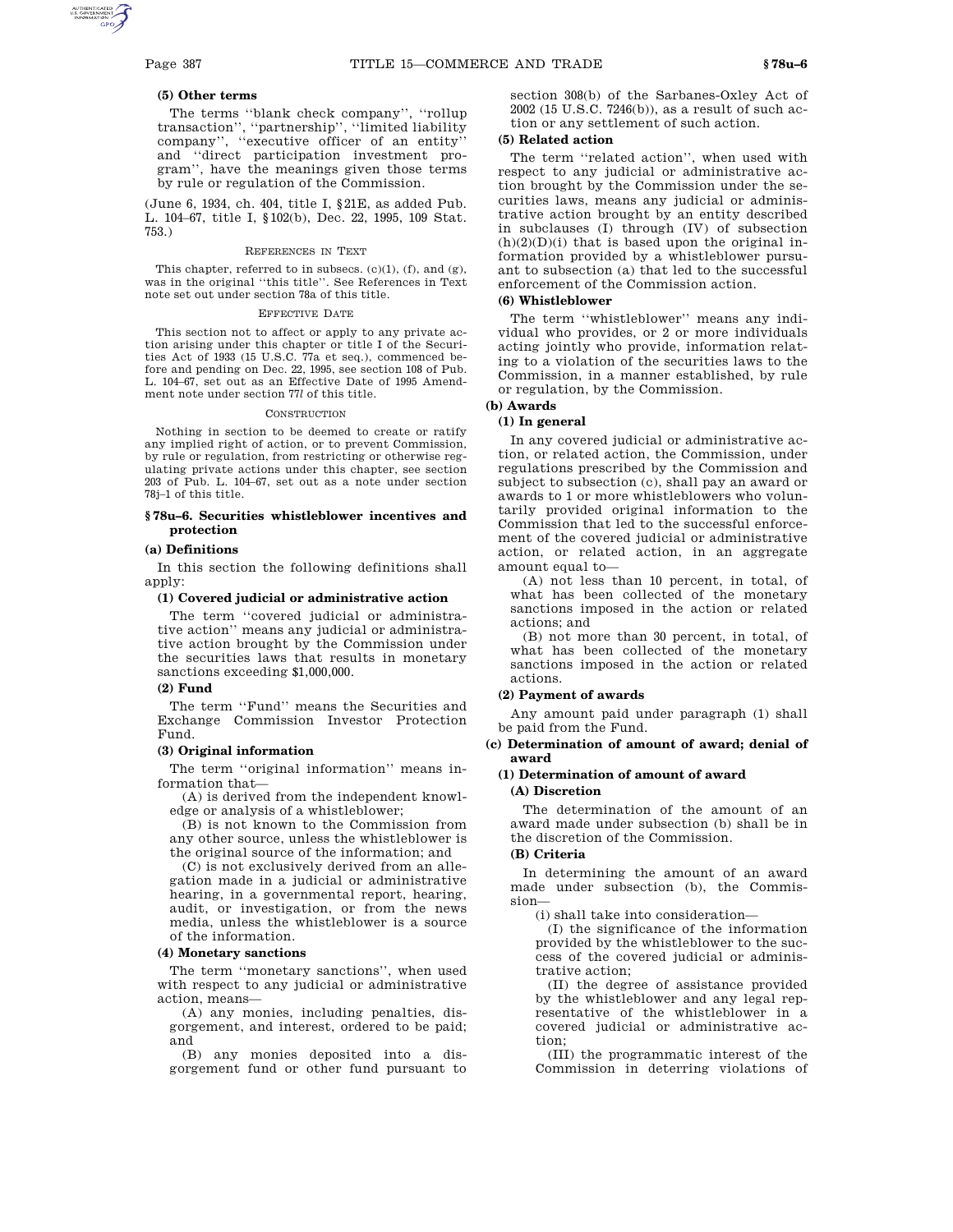#### **(5) Other terms**

The terms ''blank check company'', ''rollup transaction'', ''partnership'', ''limited liability company'', ''executive officer of an entity'' and ''direct participation investment program'', have the meanings given those terms by rule or regulation of the Commission.

(June 6, 1934, ch. 404, title I, §21E, as added Pub. L. 104–67, title I, §102(b), Dec. 22, 1995, 109 Stat. 753.)

#### REFERENCES IN TEXT

This chapter, referred to in subsecs.  $(c)(1)$ ,  $(f)$ , and  $(g)$ , was in the original ''this title''. See References in Text note set out under section 78a of this title.

#### EFFECTIVE DATE

This section not to affect or apply to any private action arising under this chapter or title I of the Securities Act of 1933 (15 U.S.C. 77a et seq.), commenced before and pending on Dec. 22, 1995, see section 108 of Pub. L. 104–67, set out as an Effective Date of 1995 Amendment note under section 77*l* of this title.

#### **CONSTRUCTION**

Nothing in section to be deemed to create or ratify any implied right of action, or to prevent Commission, by rule or regulation, from restricting or otherwise regulating private actions under this chapter, see section 203 of Pub. L. 104–67, set out as a note under section 78j–1 of this title.

#### **§ 78u–6. Securities whistleblower incentives and protection**

#### **(a) Definitions**

In this section the following definitions shall apply:

#### **(1) Covered judicial or administrative action**

The term ''covered judicial or administrative action'' means any judicial or administrative action brought by the Commission under the securities laws that results in monetary sanctions exceeding \$1,000,000.

#### **(2) Fund**

The term ''Fund'' means the Securities and Exchange Commission Investor Protection Fund.

## **(3) Original information**

The term "original information" means information that—

(A) is derived from the independent knowledge or analysis of a whistleblower;

(B) is not known to the Commission from any other source, unless the whistleblower is the original source of the information; and

(C) is not exclusively derived from an allegation made in a judicial or administrative hearing, in a governmental report, hearing, audit, or investigation, or from the news media, unless the whistleblower is a source of the information.

#### **(4) Monetary sanctions**

The term ''monetary sanctions'', when used with respect to any judicial or administrative action, means—

(A) any monies, including penalties, disgorgement, and interest, ordered to be paid; and

(B) any monies deposited into a disgorgement fund or other fund pursuant to section 308(b) of the Sarbanes-Oxley Act of 2002 (15 U.S.C. 7246(b)), as a result of such action or any settlement of such action.

#### **(5) Related action**

The term "related action", when used with respect to any judicial or administrative action brought by the Commission under the securities laws, means any judicial or administrative action brought by an entity described in subclauses (I) through (IV) of subsection  $(h)(2)(D)(i)$  that is based upon the original information provided by a whistleblower pursuant to subsection (a) that led to the successful enforcement of the Commission action.

# **(6) Whistleblower**

The term ''whistleblower'' means any individual who provides, or 2 or more individuals acting jointly who provide, information relating to a violation of the securities laws to the Commission, in a manner established, by rule or regulation, by the Commission.

# **(b) Awards**

#### **(1) In general**

In any covered judicial or administrative action, or related action, the Commission, under regulations prescribed by the Commission and subject to subsection (c), shall pay an award or awards to 1 or more whistleblowers who voluntarily provided original information to the Commission that led to the successful enforcement of the covered judicial or administrative action, or related action, in an aggregate amount equal to—

(A) not less than 10 percent, in total, of what has been collected of the monetary sanctions imposed in the action or related actions; and

(B) not more than 30 percent, in total, of what has been collected of the monetary sanctions imposed in the action or related actions.

#### **(2) Payment of awards**

Any amount paid under paragraph (1) shall be paid from the Fund.

## **(c) Determination of amount of award; denial of award**

# **(1) Determination of amount of award**

# **(A) Discretion**

The determination of the amount of an award made under subsection (b) shall be in the discretion of the Commission.

# **(B) Criteria**

In determining the amount of an award made under subsection (b), the Commission—

(i) shall take into consideration—

(I) the significance of the information provided by the whistleblower to the success of the covered judicial or administrative action;

(II) the degree of assistance provided by the whistleblower and any legal representative of the whistleblower in a covered judicial or administrative action;

(III) the programmatic interest of the Commission in deterring violations of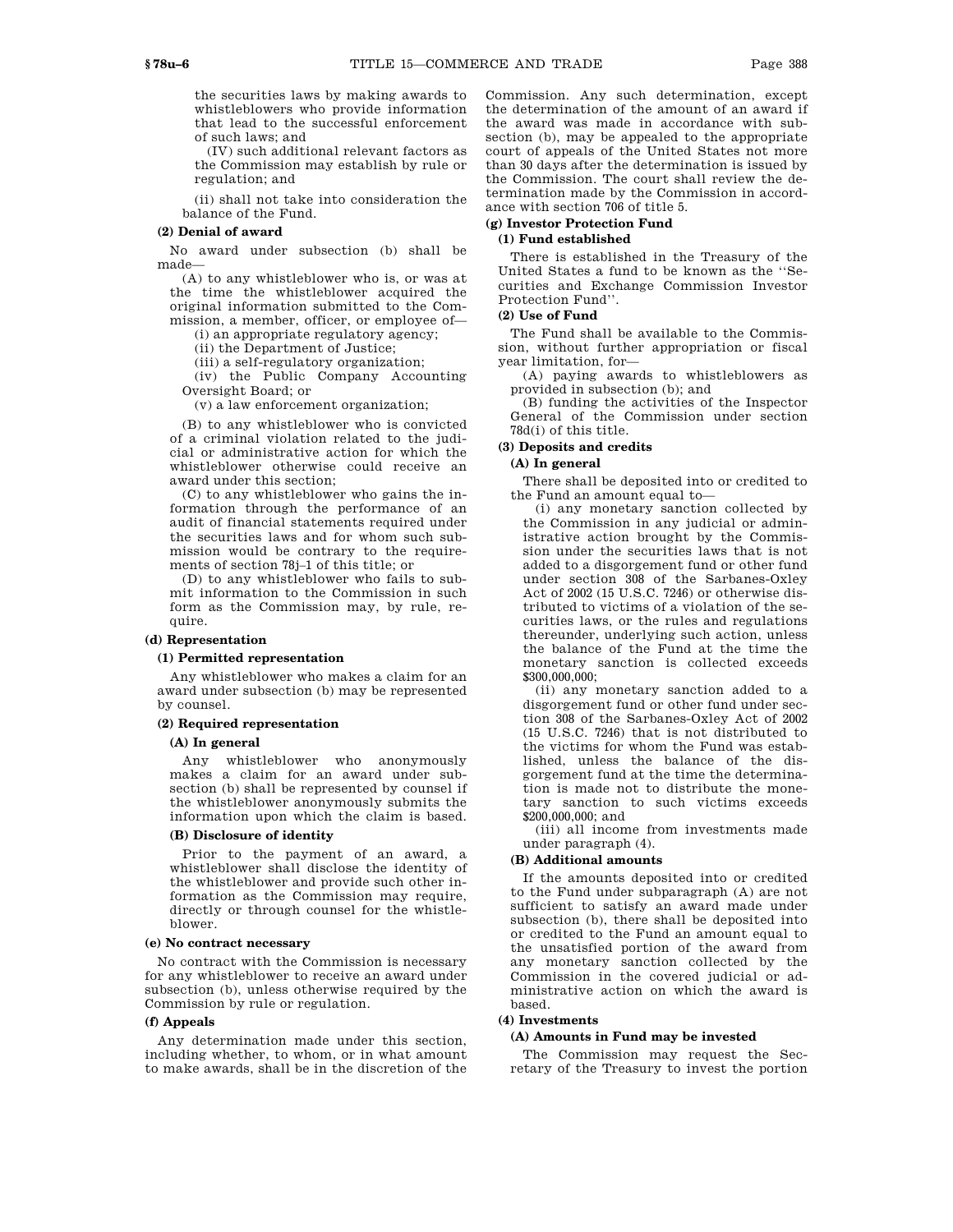the securities laws by making awards to whistleblowers who provide information that lead to the successful enforcement of such laws; and

(IV) such additional relevant factors as the Commission may establish by rule or regulation; and

(ii) shall not take into consideration the balance of the Fund.

#### **(2) Denial of award**

No award under subsection (b) shall be made—

(A) to any whistleblower who is, or was at the time the whistleblower acquired the original information submitted to the Commission, a member, officer, or employee of—

(i) an appropriate regulatory agency;

(ii) the Department of Justice;

(iii) a self-regulatory organization;

(iv) the Public Company Accounting

Oversight Board; or

(v) a law enforcement organization;

(B) to any whistleblower who is convicted of a criminal violation related to the judicial or administrative action for which the whistleblower otherwise could receive an award under this section;

(C) to any whistleblower who gains the information through the performance of an audit of financial statements required under the securities laws and for whom such submission would be contrary to the requirements of section 78j–1 of this title; or

(D) to any whistleblower who fails to submit information to the Commission in such form as the Commission may, by rule, require.

# **(d) Representation**

## **(1) Permitted representation**

Any whistleblower who makes a claim for an award under subsection (b) may be represented by counsel.

#### **(2) Required representation**

# **(A) In general**

Any whistleblower who anonymously makes a claim for an award under subsection (b) shall be represented by counsel if the whistleblower anonymously submits the information upon which the claim is based.

## **(B) Disclosure of identity**

Prior to the payment of an award, a whistleblower shall disclose the identity of the whistleblower and provide such other information as the Commission may require, directly or through counsel for the whistleblower.

#### **(e) No contract necessary**

No contract with the Commission is necessary for any whistleblower to receive an award under subsection (b), unless otherwise required by the Commission by rule or regulation.

#### **(f) Appeals**

Any determination made under this section, including whether, to whom, or in what amount to make awards, shall be in the discretion of the

Commission. Any such determination, except the determination of the amount of an award if the award was made in accordance with subsection (b), may be appealed to the appropriate court of appeals of the United States not more than 30 days after the determination is issued by the Commission. The court shall review the determination made by the Commission in accordance with section 706 of title 5.

# **(g) Investor Protection Fund**

# **(1) Fund established**

There is established in the Treasury of the United States a fund to be known as the ''Securities and Exchange Commission Investor Protection Fund''.

# **(2) Use of Fund**

The Fund shall be available to the Commission, without further appropriation or fiscal year limitation, for—

(A) paying awards to whistleblowers as provided in subsection (b); and

(B) funding the activities of the Inspector General of the Commission under section 78d(i) of this title.

## **(3) Deposits and credits**

## **(A) In general**

There shall be deposited into or credited to the Fund an amount equal to—

(i) any monetary sanction collected by the Commission in any judicial or administrative action brought by the Commission under the securities laws that is not added to a disgorgement fund or other fund under section 308 of the Sarbanes-Oxley Act of 2002 (15 U.S.C. 7246) or otherwise distributed to victims of a violation of the securities laws, or the rules and regulations thereunder, underlying such action, unless the balance of the Fund at the time the monetary sanction is collected exceeds \$300,000,000;

(ii) any monetary sanction added to a disgorgement fund or other fund under section 308 of the Sarbanes-Oxley Act of 2002 (15 U.S.C. 7246) that is not distributed to the victims for whom the Fund was established, unless the balance of the disgorgement fund at the time the determination is made not to distribute the monetary sanction to such victims exceeds \$200,000,000; and

(iii) all income from investments made under paragraph (4).

#### **(B) Additional amounts**

If the amounts deposited into or credited to the Fund under subparagraph (A) are not sufficient to satisfy an award made under subsection (b), there shall be deposited into or credited to the Fund an amount equal to the unsatisfied portion of the award from any monetary sanction collected by the Commission in the covered judicial or administrative action on which the award is based.

#### **(4) Investments**

#### **(A) Amounts in Fund may be invested**

The Commission may request the Secretary of the Treasury to invest the portion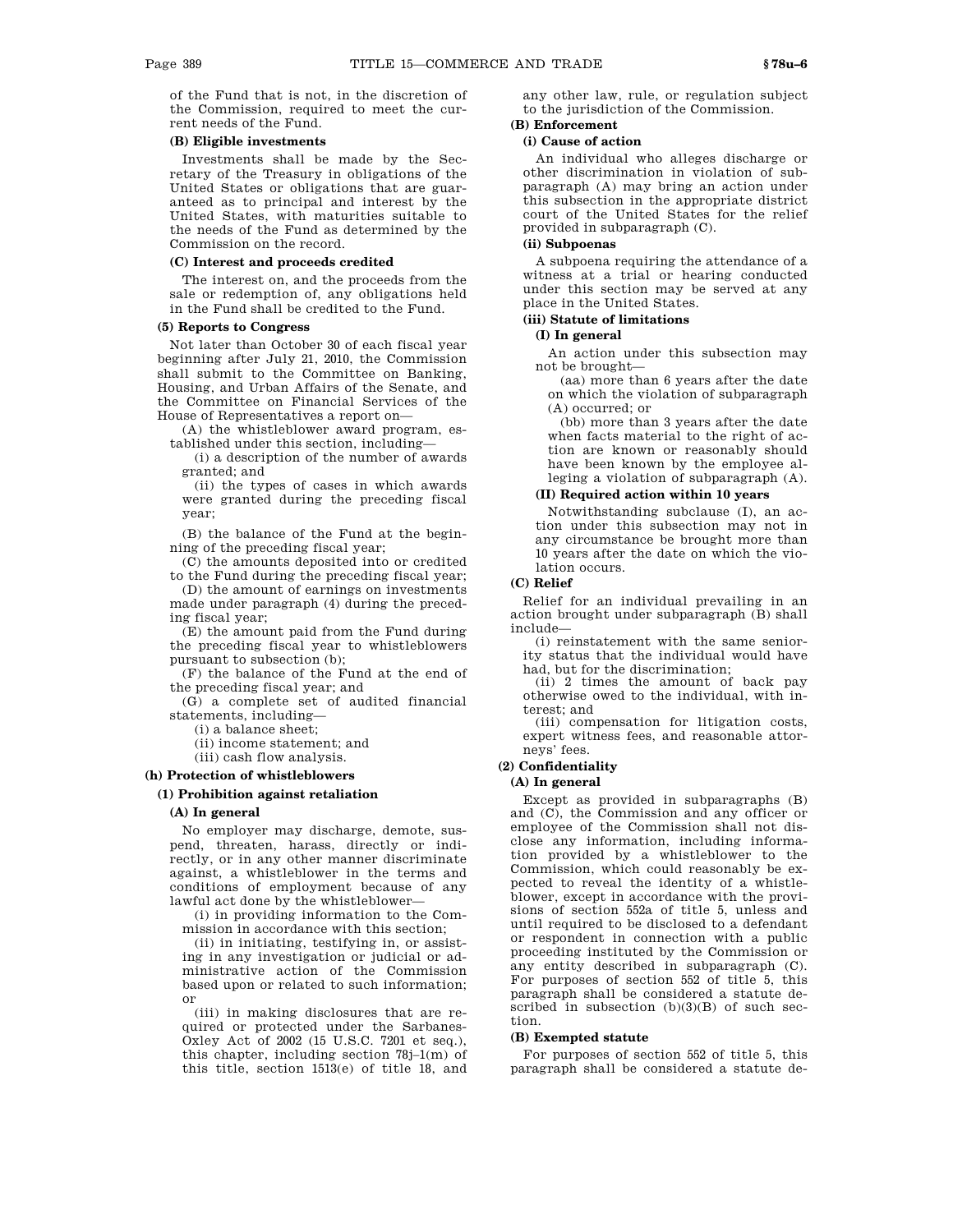of the Fund that is not, in the discretion of the Commission, required to meet the current needs of the Fund.

#### **(B) Eligible investments**

Investments shall be made by the Secretary of the Treasury in obligations of the United States or obligations that are guaranteed as to principal and interest by the United States, with maturities suitable to the needs of the Fund as determined by the Commission on the record.

### **(C) Interest and proceeds credited**

The interest on, and the proceeds from the sale or redemption of, any obligations held in the Fund shall be credited to the Fund.

## **(5) Reports to Congress**

Not later than October 30 of each fiscal year beginning after July 21, 2010, the Commission shall submit to the Committee on Banking, Housing, and Urban Affairs of the Senate, and the Committee on Financial Services of the House of Representatives a report on—

(A) the whistleblower award program, established under this section, including—

(i) a description of the number of awards granted; and

(ii) the types of cases in which awards were granted during the preceding fiscal year;

(B) the balance of the Fund at the beginning of the preceding fiscal year;

(C) the amounts deposited into or credited to the Fund during the preceding fiscal year;

(D) the amount of earnings on investments made under paragraph (4) during the preceding fiscal year;

(E) the amount paid from the Fund during the preceding fiscal year to whistleblowers pursuant to subsection (b);

(F) the balance of the Fund at the end of the preceding fiscal year; and

(G) a complete set of audited financial statements, including—

(i) a balance sheet;

(ii) income statement; and

(iii) cash flow analysis.

# **(h) Protection of whistleblowers**

# **(1) Prohibition against retaliation**

# **(A) In general**

No employer may discharge, demote, suspend, threaten, harass, directly or indirectly, or in any other manner discriminate against, a whistleblower in the terms and conditions of employment because of any lawful act done by the whistleblower—

(i) in providing information to the Commission in accordance with this section;

(ii) in initiating, testifying in, or assisting in any investigation or judicial or administrative action of the Commission based upon or related to such information; or

(iii) in making disclosures that are required or protected under the Sarbanes-Oxley Act of 2002 (15 U.S.C. 7201 et seq.), this chapter, including section 78j–1(m) of this title, section 1513(e) of title 18, and

any other law, rule, or regulation subject to the jurisdiction of the Commission.

#### **(B) Enforcement (i) Cause of action**

An individual who alleges discharge or other discrimination in violation of subparagraph (A) may bring an action under this subsection in the appropriate district court of the United States for the relief provided in subparagraph (C).

# **(ii) Subpoenas**

A subpoena requiring the attendance of a witness at a trial or hearing conducted under this section may be served at any place in the United States.

# **(iii) Statute of limitations**

## **(I) In general**

An action under this subsection may not be brought—

(aa) more than 6 years after the date on which the violation of subparagraph (A) occurred; or

(bb) more than 3 years after the date when facts material to the right of action are known or reasonably should have been known by the employee alleging a violation of subparagraph (A).

# **(II) Required action within 10 years**

Notwithstanding subclause (I), an action under this subsection may not in any circumstance be brought more than 10 years after the date on which the violation occurs.

## **(C) Relief**

Relief for an individual prevailing in an action brought under subparagraph (B) shall include—

(i) reinstatement with the same seniority status that the individual would have had, but for the discrimination;

(ii) 2 times the amount of back pay otherwise owed to the individual, with interest; and

(iii) compensation for litigation costs, expert witness fees, and reasonable attorneys' fees.

#### **(2) Confidentiality**

#### **(A) In general**

Except as provided in subparagraphs (B) and (C), the Commission and any officer or employee of the Commission shall not disclose any information, including information provided by a whistleblower to the Commission, which could reasonably be expected to reveal the identity of a whistleblower, except in accordance with the provisions of section 552a of title 5, unless and until required to be disclosed to a defendant or respondent in connection with a public proceeding instituted by the Commission or any entity described in subparagraph (C). For purposes of section 552 of title 5, this paragraph shall be considered a statute described in subsection (b)(3)(B) of such section.

#### **(B) Exempted statute**

For purposes of section 552 of title 5, this paragraph shall be considered a statute de-